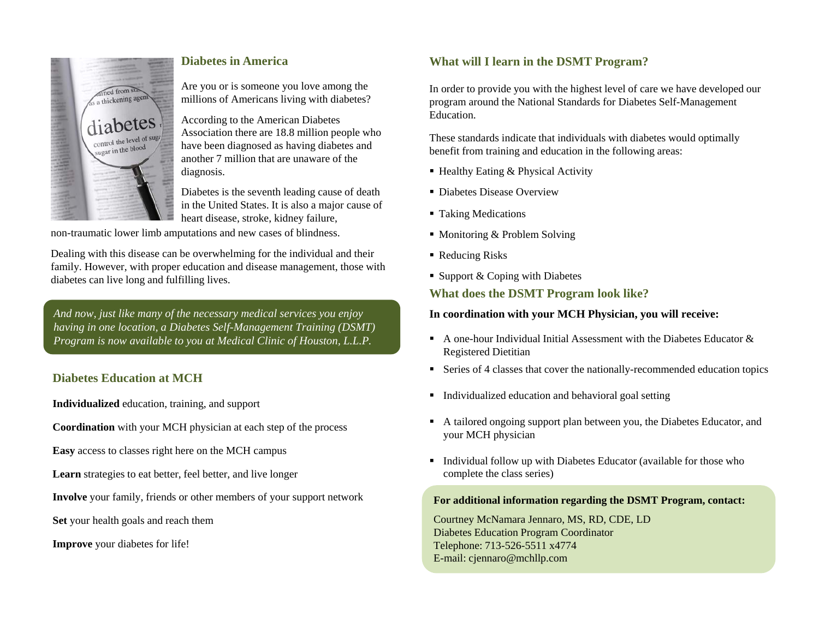

## **Diabetes in America**

Are you or is someone you love among the millions of Americans living with diabetes?

According to the American Diabetes Association there are 18.8 million people who have been diagnosed as having diabetes and another 7 million that are unaware of the diagnosis.

Diabetes is the seventh leading cause of death in the United States. It is also a major cause of heart disease, stroke, kidney failure,

non-traumatic lower limb amputations and new cases of blindness.

Dealing with this disease can be overwhelming for the individual and their family. However, with proper education and disease management, those with diabetes can live long and fulfilling lives.

*And now, just like many of the necessary medical services you enjoy having in one location, a Diabetes Self-Management Training (DSMT) Program is now available to you at Medical Clinic of Houston, L.L.P.*

# **Diabetes Education at MCH**

**Individualized** education, training, and support

**Coordination** with your MCH physician at each step of the process

**Easy** access to classes right here on the MCH campus

**Learn** strategies to eat better, feel better, and live longer

**Involve** your family, friends or other members of your support network

**Set** your health goals and reach them

**Improve** your diabetes for life!

## **What will I learn in the DSMT Program?**

In order to provide you with the highest level of care we have developed our program around the National Standards for Diabetes Self-Management Education.

These standards indicate that individuals with diabetes would optimally benefit from training and education in the following areas:

- Healthy Eating & Physical Activity
- Diabetes Disease Overview
- Taking Medications
- Monitoring & Problem Solving
- Reducing Risks
- Support & Coping with Diabetes

## **What does the DSMT Program look like?**

### **In coordination with your MCH Physician, you will receive:**

- A one-hour Individual Initial Assessment with the Diabetes Educator  $\&$ Registered Dietitian
- Series of 4 classes that cover the nationally-recommended education topics
- **Individualized education and behavioral goal setting**
- A tailored ongoing support plan between you, the Diabetes Educator, and your MCH physician
- Individual follow up with Diabetes Educator (available for those who complete the class series)

### **For additional information regarding the DSMT Program, contact:**

Courtney McNamara Jennaro, MS, RD, CDE, LD Diabetes Education Program Coordinator Telephone: 713-526-5511 x4774 E-mail: cjennaro@mchllp.com